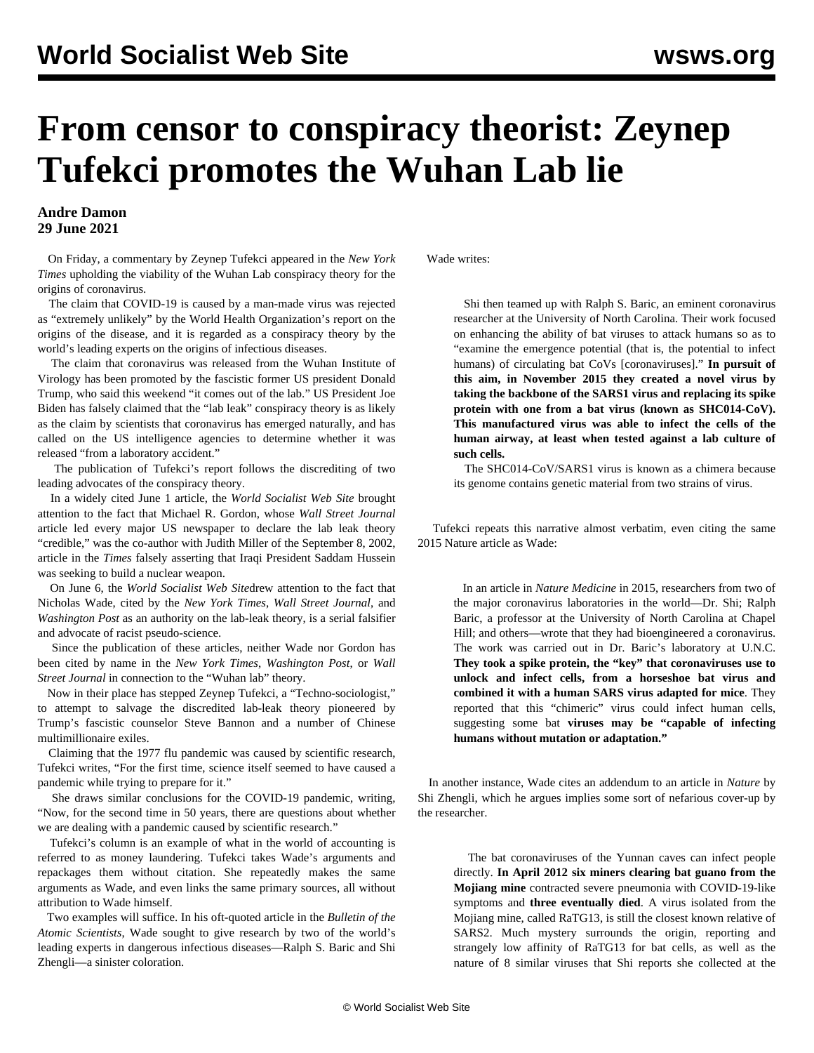## **From censor to conspiracy theorist: Zeynep Tufekci promotes the Wuhan Lab lie**

## **Andre Damon 29 June 2021**

 On Friday, a commentary by Zeynep Tufekci appeared in the *New York Times* upholding the viability of the Wuhan Lab conspiracy theory for the origins of coronavirus.

 The claim that COVID-19 is caused by a man-made virus was rejected as "extremely unlikely" by the World Health Organization's report on the origins of the disease, and it is regarded as a [conspiracy theory](https://www.thelancet.com/journals/lancet/article/PIIS0140-6736(20)30418-9/fulltext) by the world's leading experts on the origins of infectious diseases.

 The claim that coronavirus was released from the Wuhan Institute of Virology has been promoted by the fascistic former US president Donald Trump[, who said](https://www.rev.com/blog/transcripts/donald-trump-wellington-ohio-rally-speech-transcript-first-rally-since-leaving-office) this weekend "it comes out of the lab." US President Joe Biden has falsely [claimed](https://www.whitehouse.gov/briefing-room/statements-releases/2021/05/26/statement-by-president-joe-biden-on-the-investigation-into-the-origins-of-covid-19/) that the "lab leak" conspiracy theory is as likely as the claim by scientists that coronavirus has emerged naturally, and has called on the US intelligence agencies to determine whether it was released "from a laboratory accident."

 The publication of Tufekci's report follows the discrediting of two leading advocates of the conspiracy theory.

 In a widely cited June 1 article, the *World Socialist Web Site* [brought](/en/articles/2021/06/01/wuha-j02.html) [attention](/en/articles/2021/06/01/wuha-j02.html) to the fact that Michael R. Gordon, whose *Wall Street Journal* article led every major US newspaper to declare the lab leak theory "credible," was the co-author with Judith Miller of the September 8, 2002, article in the *Times* falsely asserting that Iraqi President Saddam Hussein was seeking to build a nuclear weapon.

 On June 6, the *World Socialist Web Site*[drew attention to](/en/articles/2021/06/07/wade-j07.html) the fact that Nicholas Wade, cited by the *New York Times*, *Wall Street Journal*, and *Washington Post* as an authority on the lab-leak theory, is a serial falsifier and advocate of racist pseudo-science.

 Since the publication of these articles, neither Wade nor Gordon has been cited by name in the *New York Times*, *Washington Post*, or *Wall Street Journal* in connection to the "Wuhan lab" theory.

 Now in their place has stepped Zeynep Tufekci, a "Techno-sociologist," to attempt to salvage the discredited lab-leak theory pioneered by Trump's fascistic counselor Steve Bannon and a number of Chinese multimillionaire exiles.

 Claiming that the 1977 flu pandemic was caused by scientific research, Tufekci writes, "For the first time, science itself seemed to have caused a pandemic while trying to prepare for it."

 She draws similar conclusions for the COVID-19 pandemic, writing, "Now, for the second time in 50 years, there are questions about whether we are dealing with a pandemic caused by scientific research."

 Tufekci's column is an example of what in the world of accounting is referred to as money laundering. Tufekci takes Wade's arguments and repackages them without citation. She repeatedly makes the same arguments as Wade, and even links the same primary sources, all without attribution to Wade himself.

 Two examples will suffice. In his oft-quoted article in the *Bulletin of the Atomic Scientists*, Wade sought to give research by two of the world's leading experts in dangerous infectious diseases—Ralph S. Baric and Shi Zhengli—a sinister coloration.

Wade writes:

 Shi then teamed up with Ralph S. Baric, an eminent coronavirus researcher at the University of North Carolina[. Their work](https://www.nature.com/articles/nm.3985) focused on enhancing the ability of bat viruses to attack humans so as to "examine the emergence potential (that is, the potential to infect humans) of circulating bat CoVs [coronaviruses]." **In pursuit of this aim, in November 2015 they created a novel virus by taking the backbone of the SARS1 virus and replacing its spike protein with one from a bat virus (known as SHC014-CoV). This manufactured virus was able to infect the cells of the human airway, at least when tested against a lab culture of such cells.**

 The SHC014-CoV/SARS1 virus is known as a chimera because its genome contains genetic material from two strains of virus.

 Tufekci repeats this narrative almost verbatim, even citing the same [2015 Nature article](https://www.nature.com/articles/nm.3985) as Wade:

 In [an article](https://www.nature.com/articles/nm.3985) in *Nature Medicine* in 2015, researchers from two of the major coronavirus laboratories in the world—Dr. Shi; Ralph Baric, a professor at the University of North Carolina at Chapel Hill; and others—wrote that they had bioengineered a coronavirus. The work was carried out in Dr. Baric's laboratory at U.N.C. **They took a spike protein, the "key" that coronaviruses use to unlock and infect cells, from a horseshoe bat virus and combined it with a human SARS virus adapted for mice**. They reported that this "chimeric" virus could infect human cells, suggesting some bat **viruses may be "capable of infecting humans without mutation or adaptation."**

 In another instance, Wade cites an addendum to an article in *Nature* by Shi Zhengli, which he argues implies some sort of nefarious cover-up by the researcher.

 The bat coronaviruses of the Yunnan caves can infect people directly. **In April 2012 six miners clearing bat guano from the Mojiang mine** contracted severe pneumonia with COVID-19-like symptoms and **three eventually died**. A virus isolated from the Mojiang mine, called RaTG13, is still the closest known relative of SARS2. Much mystery surrounds the origin, reporting and strangely low affinity of RaTG13 for bat cells, as well as the nature of 8 similar viruses that Sh[i reports](https://www.nature.com/articles/s41586-020-2951-z) she collected at the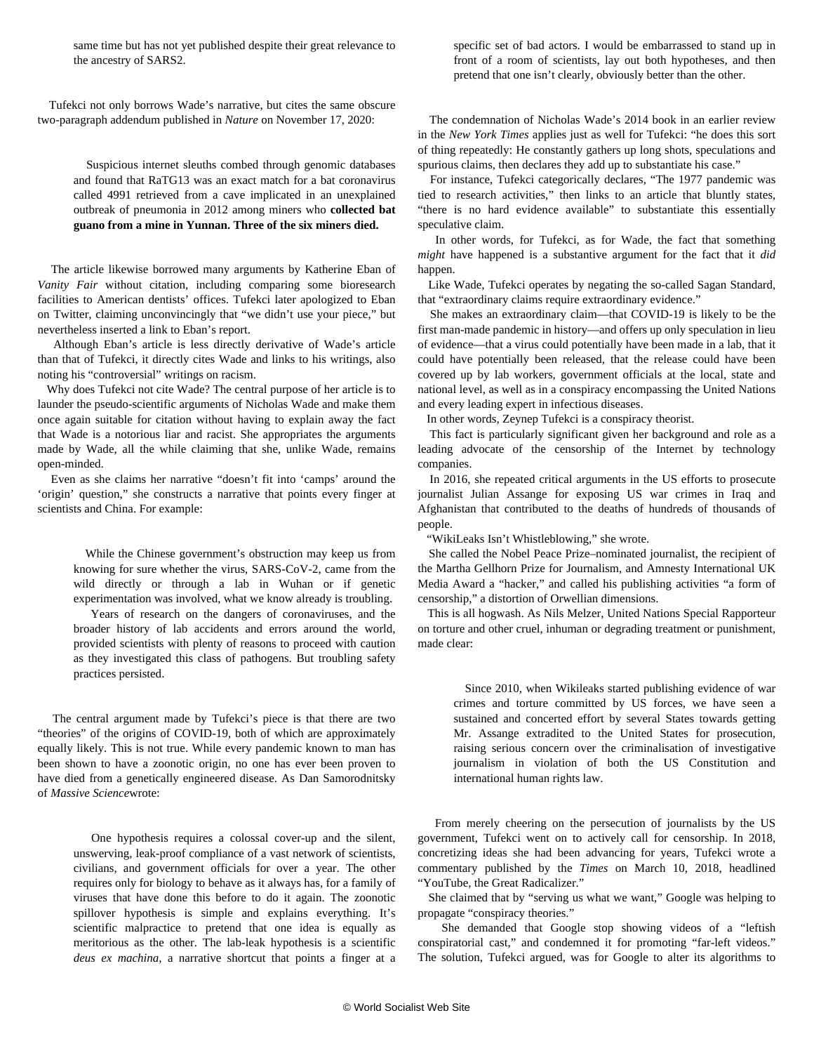same time but has not yet published despite their great relevance to the ancestry of SARS2.

 Tufekci not only borrows Wade's narrative, but cites the same obscure two-paragraph addendum published in *Nature* on November 17, 2020:

 Suspicious internet sleuths [combed through](https://twitter.com/luigi_warren/status/1259600008233377794) genomic databases and found that RaTG13 was an exact match for a bat coronavirus called 4991 retrieved from a cav[e implicated](https://www.nature.com/articles/s41586-020-2951-z) in an unexplained outbreak of pneumonia in 2012 among miners who **collected bat guano from a mine in Yunnan. Three of the six miners died.**

 The article likewise borrowed many arguments by Katherine Eban of *Vanity Fair* without citation, including comparing some bioresearch facilities to American dentists' offices. Tufekci later apologized to Eban on Twitter, claiming unconvincingly that "we didn't use your piece," but nevertheless inserted a link to Eban's report.

 Although Eban's article is less directly derivative of Wade's article than that of Tufekci, it directly cites Wade and links to his writings, also noting his "controversial" writings on racism.

 Why does Tufekci not cite Wade? The central purpose of her article is to launder the pseudo-scientific arguments of Nicholas Wade and make them once again suitable for citation without having to explain away the fact that Wade is a notorious liar and racist. She appropriates the arguments made by Wade, all the while claiming that she, unlike Wade, remains open-minded.

 Even as she claims her narrative "doesn't fit into 'camps' around the 'origin' question," she constructs a narrative that points every finger at scientists and China. For example:

 While the Chinese government's obstruction may keep us from knowing for sure whether the virus, SARS-CoV-2, came from the wild directly or through a lab in Wuhan or if genetic experimentation was involved, what we know already is troubling.

 Years of research on the dangers of coronaviruses, and the broader history of lab accidents and errors around the world, provided scientists with plenty of reasons to proceed with caution as they investigated this class of pathogens. But troubling safety practices persisted.

 The central argument made by Tufekci's piece is that there are two "theories" of the origins of COVID-19, both of which are approximately equally likely. This is not true. While every pandemic known to man has been shown to have a zoonotic origin, no one has ever been proven to have died from a genetically engineered disease. As Dan Samorodnitsky of *Massive Science*[wrote:](https://massivesci.com/articles/sars-cov-coronavirus-covid19-lab-leak-hypothesis/)

> One hypothesis requires a colossal cover-up and the silent, unswerving, leak-proof compliance of a vast network of scientists, civilians, and government officials for over a year. The other requires only for biology to behave as it always has, for a family of viruses that have done this before to do it again. The zoonotic spillover hypothesis is simple and explains everything. It's scientific malpractice to pretend that one idea is equally as meritorious as the other. The lab-leak hypothesis is a scientific *deus ex machina*, a narrative shortcut that points a finger at a

specific set of bad actors. I would be embarrassed to stand up in front of a room of scientists, lay out both hypotheses, and then pretend that one isn't clearly, obviously better than the other.

 The condemnation of Nicholas Wade's 2014 book in an earlie[r review](https://www.nytimes.com/2014/07/13/books/review/a-troublesome-inheritance-and-inheritance.html) in the *New York Times* applies just as well for Tufekci: "he does this sort of thing repeatedly: He constantly gathers up long shots, speculations and spurious claims, then declares they add up to substantiate his case."

 For instance, Tufekci categorically declares, "The 1977 pandemic was tied to research activities," the[n links](http://www.owlnet.rice.edu/~bioe301/public_html/kortum/class/students/hw/Palese) to an article that bluntly states, "there is no hard evidence available" to substantiate this essentially speculative claim.

 In other words, for Tufekci, as for Wade, the fact that something *might* have happened is a substantive argument for the fact that it *did* happen.

 Like Wade, Tufekci operates by negating the so-called Sagan Standard, that "extraordinary claims require extraordinary evidence."

 She makes an extraordinary claim—that COVID-19 is likely to be the first man-made pandemic in history—and offers up only speculation in lieu of evidence—that a virus could potentially have been made in a lab, that it could have potentially been released, that the release could have been covered up by lab workers, government officials at the local, state and national level, as well as in a conspiracy encompassing the United Nations and every leading expert in infectious diseases.

In other words, Zeynep Tufekci is a conspiracy theorist.

 This fact is particularly significant given her background and role as a leading advocate of the censorship of the Internet by technology companies.

 In 2016, she repeated critical arguments in the US efforts to prosecute journalist Julian Assange for exposing US war crimes in Iraq and Afghanistan that contributed to the deaths of hundreds of thousands of people.

"WikiLeaks Isn't Whistleblowing," she [wrote](https://www.nytimes.com/2016/11/05/opinion/what-were-missing-while-we-obsess-over-john-podestas-email.html).

 She called the Nobel Peace Prize–nominated journalist, the recipient of the Martha Gellhorn Prize for Journalism, and Amnesty International UK Media Award a "hacker," and called his publishing activities "a form of censorship," a distortion of Orwellian dimensions.

 This is all hogwash. As Nils Melzer, United Nations Special Rapporteur on torture and other cruel, inhuman or degrading treatment or punishment, [made clear:](https://www.ohchr.org/EN/NewsEvents/Pages/DisplayNews.aspx?NewsID=24665)

 Since 2010, when Wikileaks started publishing evidence of war crimes and torture committed by US forces, we have seen a sustained and concerted effort by several States towards getting Mr. Assange extradited to the United States for prosecution, raising serious concern over the criminalisation of investigative journalism in violation of both the US Constitution and international human rights law.

 From merely cheering on the persecution of journalists by the US government, Tufekci went on to actively call for censorship. In 2018, concretizing ideas she had been advancing for years, Tufekci wrote a commentary published by the *Times* on March 10, 2018, headlined "YouTube, the Great Radicalizer."

 She claimed that by "serving us what we want," Google was helping to propagate "conspiracy theories."

 She demanded that Google stop showing videos of a "leftish conspiratorial cast," and condemned it for promoting "far-left videos." The solution, Tufekci argued, was for Google to alter its algorithms to